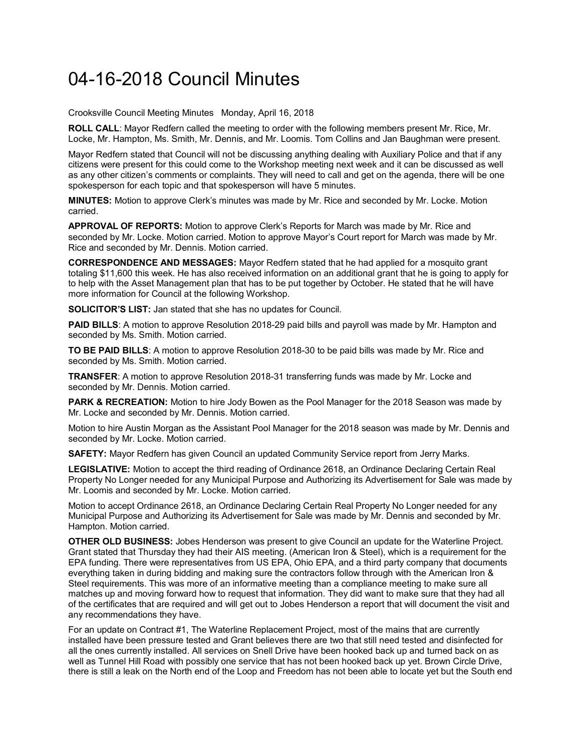## 04-16-2018 Council Minutes

Crooksville Council Meeting Minutes Monday, April 16, 2018

**ROLL CALL**: Mayor Redfern called the meeting to order with the following members present Mr. Rice, Mr. Locke, Mr. Hampton, Ms. Smith, Mr. Dennis, and Mr. Loomis. Tom Collins and Jan Baughman were present.

Mayor Redfern stated that Council will not be discussing anything dealing with Auxiliary Police and that if any citizens were present for this could come to the Workshop meeting next week and it can be discussed as well as any other citizen's comments or complaints. They will need to call and get on the agenda, there will be one spokesperson for each topic and that spokesperson will have 5 minutes.

**MINUTES:** Motion to approve Clerk's minutes was made by Mr. Rice and seconded by Mr. Locke. Motion carried.

**APPROVAL OF REPORTS:** Motion to approve Clerk's Reports for March was made by Mr. Rice and seconded by Mr. Locke. Motion carried. Motion to approve Mayor's Court report for March was made by Mr. Rice and seconded by Mr. Dennis. Motion carried.

**CORRESPONDENCE AND MESSAGES:** Mayor Redfern stated that he had applied for a mosquito grant totaling \$11,600 this week. He has also received information on an additional grant that he is going to apply for to help with the Asset Management plan that has to be put together by October. He stated that he will have more information for Council at the following Workshop.

**SOLICITOR'S LIST:** Jan stated that she has no updates for Council.

**PAID BILLS**: A motion to approve Resolution 2018-29 paid bills and payroll was made by Mr. Hampton and seconded by Ms. Smith. Motion carried.

**TO BE PAID BILLS**: A motion to approve Resolution 2018-30 to be paid bills was made by Mr. Rice and seconded by Ms. Smith. Motion carried.

**TRANSFER**: A motion to approve Resolution 2018-31 transferring funds was made by Mr. Locke and seconded by Mr. Dennis. Motion carried.

**PARK & RECREATION:** Motion to hire Jody Bowen as the Pool Manager for the 2018 Season was made by Mr. Locke and seconded by Mr. Dennis. Motion carried.

Motion to hire Austin Morgan as the Assistant Pool Manager for the 2018 season was made by Mr. Dennis and seconded by Mr. Locke. Motion carried.

**SAFETY:** Mayor Redfern has given Council an updated Community Service report from Jerry Marks.

**LEGISLATIVE:** Motion to accept the third reading of Ordinance 2618, an Ordinance Declaring Certain Real Property No Longer needed for any Municipal Purpose and Authorizing its Advertisement for Sale was made by Mr. Loomis and seconded by Mr. Locke. Motion carried.

Motion to accept Ordinance 2618, an Ordinance Declaring Certain Real Property No Longer needed for any Municipal Purpose and Authorizing its Advertisement for Sale was made by Mr. Dennis and seconded by Mr. Hampton. Motion carried.

**OTHER OLD BUSINESS:** Jobes Henderson was present to give Council an update for the Waterline Project. Grant stated that Thursday they had their AIS meeting. (American Iron & Steel), which is a requirement for the EPA funding. There were representatives from US EPA, Ohio EPA, and a third party company that documents everything taken in during bidding and making sure the contractors follow through with the American Iron & Steel requirements. This was more of an informative meeting than a compliance meeting to make sure all matches up and moving forward how to request that information. They did want to make sure that they had all of the certificates that are required and will get out to Jobes Henderson a report that will document the visit and any recommendations they have.

For an update on Contract #1, The Waterline Replacement Project, most of the mains that are currently installed have been pressure tested and Grant believes there are two that still need tested and disinfected for all the ones currently installed. All services on Snell Drive have been hooked back up and turned back on as well as Tunnel Hill Road with possibly one service that has not been hooked back up yet. Brown Circle Drive, there is still a leak on the North end of the Loop and Freedom has not been able to locate yet but the South end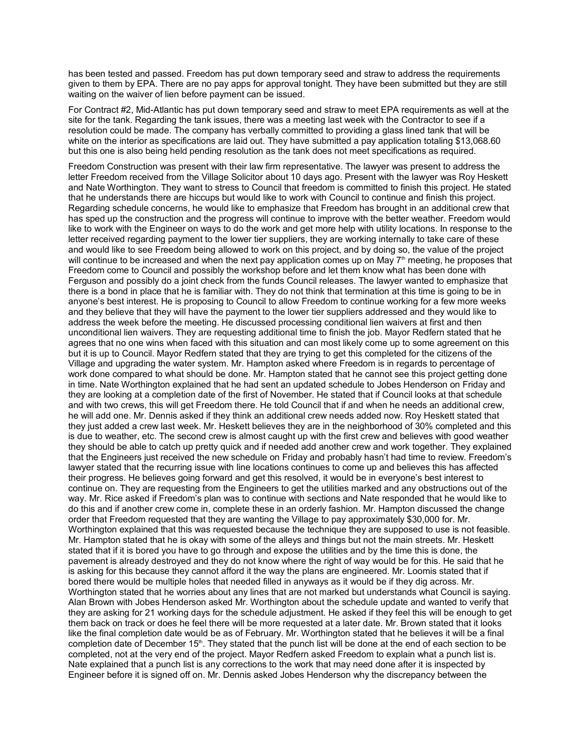has been tested and passed. Freedom has put down temporary seed and straw to address the requirements given to them by EPA. There are no pay apps for approval tonight. They have been submitted but they are still waiting on the waiver of lien before payment can be issued.

For Contract #2, Mid-Atlantic has put down temporary seed and straw to meet EPA requirements as well at the site for the tank. Regarding the tank issues, there was a meeting last week with the Contractor to see if a resolution could be made. The company has verbally committed to providing a glass lined tank that will be white on the interior as specifications are laid out. They have submitted a pay application totaling \$13,068.60 but this one is also being held pending resolution as the tank does not meet specifications as required.

Freedom Construction was present with their law firm representative. The lawyer was present to address the letter Freedom received from the Village Solicitor about 10 days ago. Present with the lawyer was Roy Heskett and Nate Worthington. They want to stress to Council that freedom is committed to finish this project. He stated that he understands there are hiccups but would like to work with Council to continue and finish this project. Regarding schedule concerns, he would like to emphasize that Freedom has brought in an additional crew that has sped up the construction and the progress will continue to improve with the better weather. Freedom would like to work with the Engineer on ways to do the work and get more help with utility locations. In response to the letter received regarding payment to the lower tier suppliers, they are working internally to take care of these and would like to see Freedom being allowed to work on this project, and by doing so, the value of the project will continue to be increased and when the next pay application comes up on May  $7<sup>th</sup>$  meeting, he proposes that Freedom come to Council and possibly the workshop before and let them know what has been done with Ferguson and possibly do a joint check from the funds Council releases. The lawyer wanted to emphasize that there is a bond in place that he is familiar with. They do not think that termination at this time is going to be in anyone's best interest. He is proposing to Council to allow Freedom to continue working for a few more weeks and they believe that they will have the payment to the lower tier suppliers addressed and they would like to address the week before the meeting. He discussed processing conditional lien waivers at first and then unconditional lien waivers. They are requesting additional time to finish the job. Mayor Redfern stated that he agrees that no one wins when faced with this situation and can most likely come up to some agreement on this but it is up to Council. Mayor Redfern stated that they are trying to get this completed for the citizens of the Village and upgrading the water system. Mr. Hampton asked where Freedom is in regards to percentage of work done compared to what should be done. Mr. Hampton stated that he cannot see this project getting done in time. Nate Worthington explained that he had sent an updated schedule to Jobes Henderson on Friday and they are looking at a completion date of the first of November. He stated that if Council looks at that schedule and with two crews, this will get Freedom there. He told Council that if and when he needs an additional crew, he will add one. Mr. Dennis asked if they think an additional crew needs added now. Roy Heskett stated that they just added a crew last week. Mr. Heskett believes they are in the neighborhood of 30% completed and this is due to weather, etc. The second crew is almost caught up with the first crew and believes with good weather they should be able to catch up pretty quick and if needed add another crew and work together. They explained that the Engineers just received the new schedule on Friday and probably hasn't had time to review. Freedom's lawyer stated that the recurring issue with line locations continues to come up and believes this has affected their progress. He believes going forward and get this resolved, it would be in everyone's best interest to continue on. They are requesting from the Engineers to get the utilities marked and any obstructions out of the way. Mr. Rice asked if Freedom's plan was to continue with sections and Nate responded that he would like to do this and if another crew come in, complete these in an orderly fashion. Mr. Hampton discussed the change order that Freedom requested that they are wanting the Village to pay approximately \$30,000 for. Mr. Worthington explained that this was requested because the technique they are supposed to use is not feasible. Mr. Hampton stated that he is okay with some of the alleys and things but not the main streets. Mr. Heskett stated that if it is bored you have to go through and expose the utilities and by the time this is done, the pavement is already destroyed and they do not know where the right of way would be for this. He said that he is asking for this because they cannot afford it the way the plans are engineered. Mr. Loomis stated that if bored there would be multiple holes that needed filled in anyways as it would be if they dig across. Mr. Worthington stated that he worries about any lines that are not marked but understands what Council is saying. Alan Brown with Jobes Henderson asked Mr. Worthington about the schedule update and wanted to verify that they are asking for 21 working days for the schedule adjustment. He asked if they feel this will be enough to get them back on track or does he feel there will be more requested at a later date. Mr. Brown stated that it looks like the final completion date would be as of February. Mr. Worthington stated that he believes it will be a final completion date of December 15<sup>th</sup>. They stated that the punch list will be done at the end of each section to be completed, not at the very end of the project. Mayor Redfern asked Freedom to explain what a punch list is. Nate explained that a punch list is any corrections to the work that may need done after it is inspected by Engineer before it is signed off on. Mr. Dennis asked Jobes Henderson why the discrepancy between the